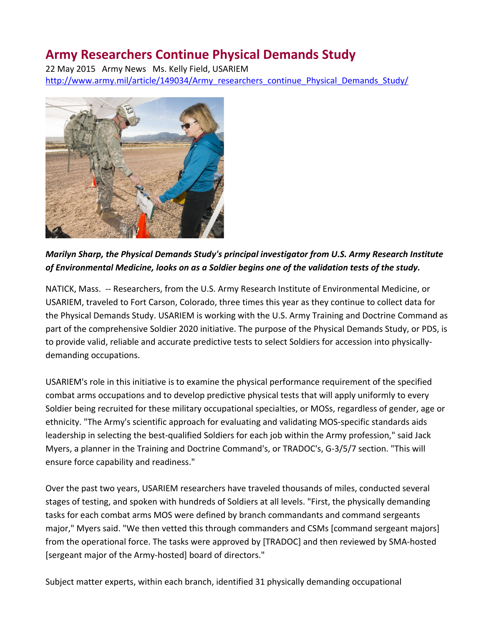## **Army Researchers Continue Physical Demands Study**

22 May 2015 Army News Ms. Kelly Field, USARIEM [http://www.army.mil/article/149034/Army\\_researchers\\_continue\\_Physical\\_Demands\\_Study/](http://www.army.mil/article/149034/Army_researchers_continue_Physical_Demands_Study/)



*Marilyn Sharp, the Physical Demands Study's principal investigator from U.S. Army Research Institute of Environmental Medicine, looks on as a Soldier begins one of the validation tests of the study.*

NATICK, Mass. -- Researchers, from the U.S. Army Research Institute of Environmental Medicine, or USARIEM, traveled to Fort Carson, Colorado, three times this year as they continue to collect data for the Physical Demands Study. USARIEM is working with the U.S. Army Training and Doctrine Command as part of the comprehensive Soldier 2020 initiative. The purpose of the Physical Demands Study, or PDS, is to provide valid, reliable and accurate predictive tests to select Soldiers for accession into physicallydemanding occupations.

USARIEM's role in this initiative is to examine the physical performance requirement of the specified combat arms occupations and to develop predictive physical tests that will apply uniformly to every Soldier being recruited for these military occupational specialties, or MOSs, regardless of gender, age or ethnicity. "The Army's scientific approach for evaluating and validating MOS-specific standards aids leadership in selecting the best-qualified Soldiers for each job within the Army profession," said Jack Myers, a planner in the Training and Doctrine Command's, or TRADOC's, G-3/5/7 section. "This will ensure force capability and readiness."

Over the past two years, USARIEM researchers have traveled thousands of miles, conducted several stages of testing, and spoken with hundreds of Soldiers at all levels. "First, the physically demanding tasks for each combat arms MOS were defined by branch commandants and command sergeants major," Myers said. "We then vetted this through commanders and CSMs [command sergeant majors] from the operational force. The tasks were approved by [TRADOC] and then reviewed by SMA-hosted [sergeant major of the Army-hosted] board of directors."

Subject matter experts, within each branch, identified 31 physically demanding occupational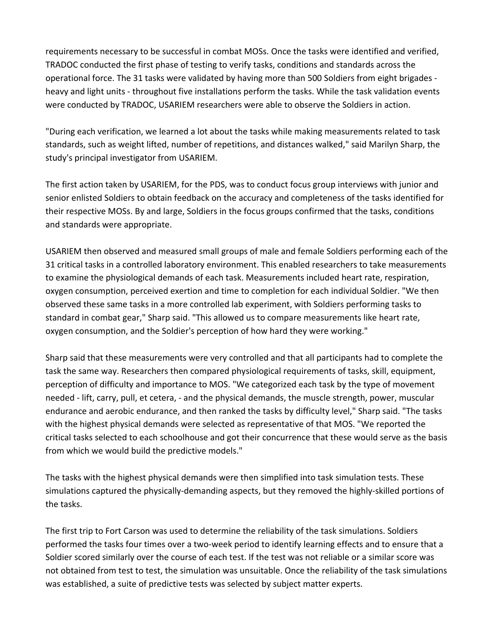requirements necessary to be successful in combat MOSs. Once the tasks were identified and verified, TRADOC conducted the first phase of testing to verify tasks, conditions and standards across the operational force. The 31 tasks were validated by having more than 500 Soldiers from eight brigades heavy and light units - throughout five installations perform the tasks. While the task validation events were conducted by TRADOC, USARIEM researchers were able to observe the Soldiers in action.

"During each verification, we learned a lot about the tasks while making measurements related to task standards, such as weight lifted, number of repetitions, and distances walked," said Marilyn Sharp, the study's principal investigator from USARIEM.

The first action taken by USARIEM, for the PDS, was to conduct focus group interviews with junior and senior enlisted Soldiers to obtain feedback on the accuracy and completeness of the tasks identified for their respective MOSs. By and large, Soldiers in the focus groups confirmed that the tasks, conditions and standards were appropriate.

USARIEM then observed and measured small groups of male and female Soldiers performing each of the 31 critical tasks in a controlled laboratory environment. This enabled researchers to take measurements to examine the physiological demands of each task. Measurements included heart rate, respiration, oxygen consumption, perceived exertion and time to completion for each individual Soldier. "We then observed these same tasks in a more controlled lab experiment, with Soldiers performing tasks to standard in combat gear," Sharp said. "This allowed us to compare measurements like heart rate, oxygen consumption, and the Soldier's perception of how hard they were working."

Sharp said that these measurements were very controlled and that all participants had to complete the task the same way. Researchers then compared physiological requirements of tasks, skill, equipment, perception of difficulty and importance to MOS. "We categorized each task by the type of movement needed - lift, carry, pull, et cetera, - and the physical demands, the muscle strength, power, muscular endurance and aerobic endurance, and then ranked the tasks by difficulty level," Sharp said. "The tasks with the highest physical demands were selected as representative of that MOS. "We reported the critical tasks selected to each schoolhouse and got their concurrence that these would serve as the basis from which we would build the predictive models."

The tasks with the highest physical demands were then simplified into task simulation tests. These simulations captured the physically-demanding aspects, but they removed the highly-skilled portions of the tasks.

The first trip to Fort Carson was used to determine the reliability of the task simulations. Soldiers performed the tasks four times over a two-week period to identify learning effects and to ensure that a Soldier scored similarly over the course of each test. If the test was not reliable or a similar score was not obtained from test to test, the simulation was unsuitable. Once the reliability of the task simulations was established, a suite of predictive tests was selected by subject matter experts.